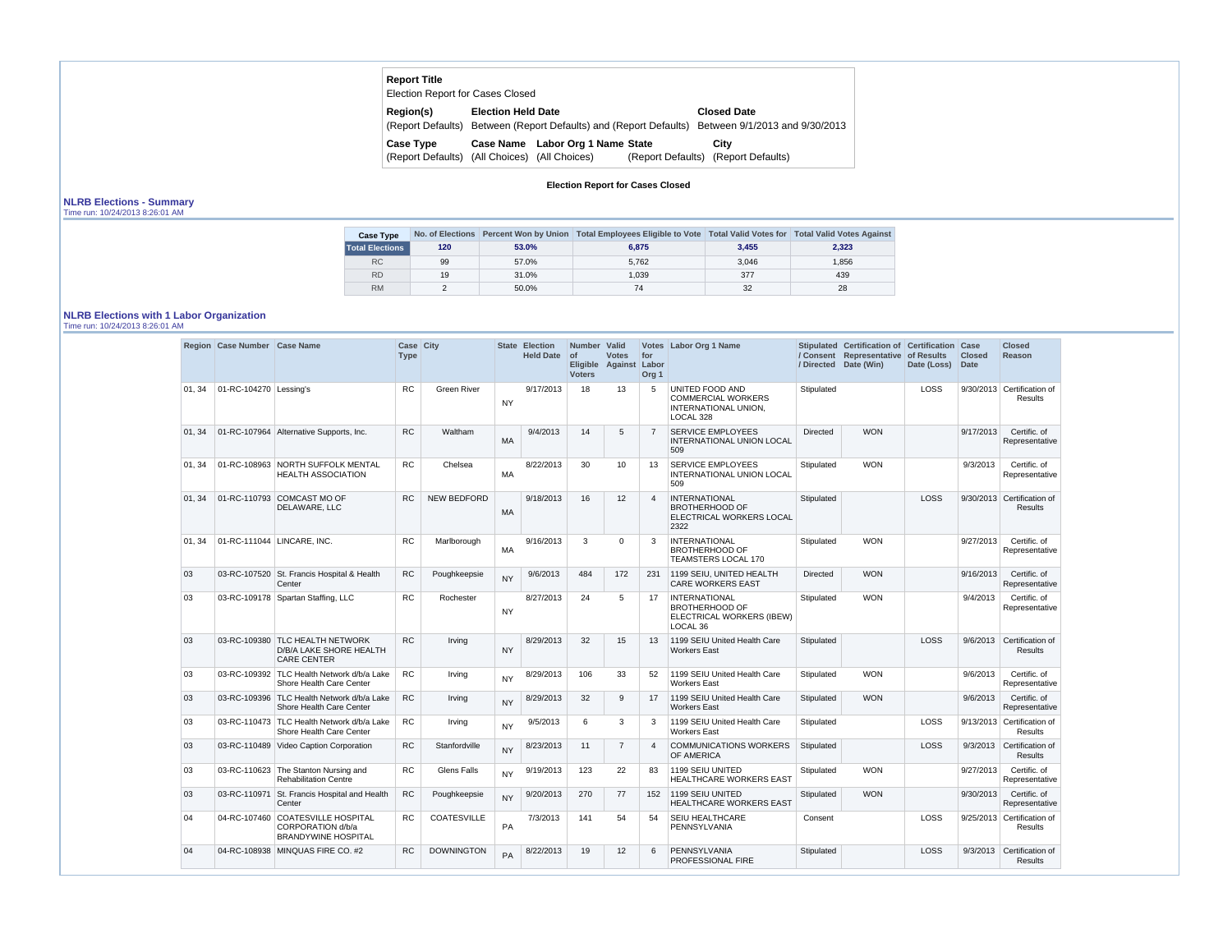| <b>Report Title</b><br>Election Report for Cases Closed    |                           |                                  |                                                                                                                        |  |
|------------------------------------------------------------|---------------------------|----------------------------------|------------------------------------------------------------------------------------------------------------------------|--|
| Region(s)                                                  | <b>Election Held Date</b> |                                  | <b>Closed Date</b><br>(Report Defaults) Between (Report Defaults) and (Report Defaults) Between 9/1/2013 and 9/30/2013 |  |
| Case Type<br>(Report Defaults) (All Choices) (All Choices) |                           | Case Name Labor Org 1 Name State | City<br>(Report Defaults) (Report Defaults)                                                                            |  |

### **Election Report for Cases Closed**

# **NLRB Elections - Summary**

Time run: 10/24/2013 8:26:01 AM

| <b>Case Type</b>       |     |       | No. of Elections Percent Won by Union Total Employees Eligible to Vote Total Valid Votes for Total Valid Votes Against |       |       |
|------------------------|-----|-------|------------------------------------------------------------------------------------------------------------------------|-------|-------|
| <b>Total Elections</b> | 120 | 53.0% | 6,875                                                                                                                  | 3.455 | 2,323 |
| RC                     | 99  | 57.0% | 5.762                                                                                                                  | 3.046 | 1.856 |
| <b>RD</b>              | 19  | 31.0% | 1.039                                                                                                                  | 377   | 439   |
| <b>RM</b>              |     | 50.0% | 74                                                                                                                     | 32    | 28    |

#### **NLRB Elections with 1 Labor Organization**

Time run: 10/24/2013 8:26:01 AM

|        | Region Case Number Case Name |                                                                                      | Case City<br><b>Type</b> |                    |           | State Election<br><b>Held Date</b> | Number Valid<br><b>of</b><br><b>Voters</b> | <b>Votes</b><br>Eligible Against Labor | for<br>Org <sub>1</sub> | Votes Labor Org 1 Name                                                                            | / Directed      | Stipulated Certification of Certification Case<br>/ Consent Representative of Results<br>Date (Win) | Date (Loss) | <b>Closed</b><br>Date | <b>Closed</b><br>Reason                      |
|--------|------------------------------|--------------------------------------------------------------------------------------|--------------------------|--------------------|-----------|------------------------------------|--------------------------------------------|----------------------------------------|-------------------------|---------------------------------------------------------------------------------------------------|-----------------|-----------------------------------------------------------------------------------------------------|-------------|-----------------------|----------------------------------------------|
| 01, 34 | 01-RC-104270 Lessing's       |                                                                                      | <b>RC</b>                | <b>Green River</b> | <b>NY</b> | 9/17/2013                          | 18                                         | 13                                     | 5                       | UNITED FOOD AND<br><b>COMMERCIAL WORKERS</b><br>INTERNATIONAL UNION,<br>LOCAL 328                 | Stipulated      |                                                                                                     | LOSS        |                       | 9/30/2013 Certification of<br>Results        |
| 01, 34 |                              | 01-RC-107964 Alternative Supports, Inc.                                              | <b>RC</b>                | Waltham            | <b>MA</b> | 9/4/2013                           | 14                                         | 5                                      | $\overline{7}$          | <b>SERVICE EMPLOYEES</b><br>INTERNATIONAL UNION LOCAL<br>509                                      | <b>Directed</b> | <b>WON</b>                                                                                          |             | 9/17/2013             | Certific. of<br>Representative               |
| 01, 34 |                              | 01-RC-108963 NORTH SUFFOLK MENTAL<br><b>HEALTH ASSOCIATION</b>                       | <b>RC</b>                | Chelsea            | <b>MA</b> | 8/22/2013                          | 30                                         | 10                                     | 13                      | <b>SERVICE EMPLOYEES</b><br>INTERNATIONAL UNION LOCAL<br>509                                      | Stipulated      | <b>WON</b>                                                                                          |             | 9/3/2013              | Certific. of<br>Representative               |
| 01, 34 |                              | 01-RC-110793 COMCAST MO OF<br>DELAWARE, LLC                                          | <b>RC</b>                | <b>NEW BEDFORD</b> | <b>MA</b> | 9/18/2013                          | 16                                         | 12                                     | $\overline{4}$          | <b>INTERNATIONAL</b><br><b>BROTHERHOOD OF</b><br>ELECTRICAL WORKERS LOCAL<br>2322                 | Stipulated      |                                                                                                     | LOSS        |                       | 9/30/2013 Certification of<br>Results        |
| 01, 34 | 01-RC-111044 LINCARE, INC.   |                                                                                      | <b>RC</b>                | Marlborough        | <b>MA</b> | 9/16/2013                          | 3                                          | 0                                      | 3                       | <b>INTERNATIONAL</b><br><b>BROTHERHOOD OF</b><br><b>TEAMSTERS LOCAL 170</b>                       | Stipulated      | <b>WON</b>                                                                                          |             | 9/27/2013             | Certific. of<br>Representative               |
| 03     |                              | 03-RC-107520 St. Francis Hospital & Health<br>Center                                 | <b>RC</b>                | Poughkeepsie       | <b>NY</b> | 9/6/2013                           | 484                                        | 172                                    | 231                     | 1199 SEIU, UNITED HEALTH<br><b>CARE WORKERS EAST</b>                                              | Directed        | <b>WON</b>                                                                                          |             | 9/16/2013             | Certific. of<br>Representative               |
| 03     |                              | 03-RC-109178 Spartan Staffing, LLC                                                   | <b>RC</b>                | Rochester          | <b>NY</b> | 8/27/2013                          | 24                                         | 5                                      | 17                      | <b>INTERNATIONAL</b><br><b>BROTHERHOOD OF</b><br>ELECTRICAL WORKERS (IBEW)<br>LOCAL <sub>36</sub> | Stipulated      | <b>WON</b>                                                                                          |             | 9/4/2013              | Certific. of<br>Representative               |
| 03     |                              | 03-RC-109380 TLC HEALTH NETWORK<br>D/B/A LAKE SHORE HEALTH<br><b>CARE CENTER</b>     | <b>RC</b>                | Irving             | <b>NY</b> | 8/29/2013                          | 32                                         | 15                                     | 13                      | 1199 SEIU United Health Care<br><b>Workers East</b>                                               | Stipulated      |                                                                                                     | LOSS        | 9/6/2013              | Certification of<br>Results                  |
| 03     |                              | 03-RC-109392 TLC Health Network d/b/a Lake<br>Shore Health Care Center               | <b>RC</b>                | Irving             | <b>NY</b> | 8/29/2013                          | 106                                        | 33                                     | 52                      | 1199 SEIU United Health Care<br><b>Workers East</b>                                               | Stipulated      | <b>WON</b>                                                                                          |             | 9/6/2013              | Certific. of<br>Representative               |
| 03     |                              | 03-RC-109396 TLC Health Network d/b/a Lake<br>Shore Health Care Center               | <b>RC</b>                | Irving             | <b>NY</b> | 8/29/2013                          | 32                                         | 9                                      | 17                      | 1199 SEIU United Health Care<br><b>Workers East</b>                                               | Stipulated      | <b>WON</b>                                                                                          |             | 9/6/2013              | Certific. of<br>Representative               |
| 03     |                              | 03-RC-110473 TLC Health Network d/b/a Lake<br>Shore Health Care Center               | <b>RC</b>                | Irving             | <b>NY</b> | 9/5/2013                           | 6                                          | 3                                      | 3                       | 1199 SEIU United Health Care<br><b>Workers East</b>                                               | Stipulated      |                                                                                                     | LOSS        |                       | 9/13/2013 Certification of<br><b>Results</b> |
| 03     |                              | 03-RC-110489 Video Caption Corporation                                               | <b>RC</b>                | Stanfordville      | <b>NY</b> | 8/23/2013                          | 11                                         | $\overline{7}$                         | $\overline{4}$          | <b>COMMUNICATIONS WORKERS</b><br>OF AMERICA                                                       | Stipulated      |                                                                                                     | LOSS        |                       | 9/3/2013 Certification of<br>Results         |
| 03     |                              | 03-RC-110623 The Stanton Nursing and<br><b>Rehabilitation Centre</b>                 | <b>RC</b>                | <b>Glens Falls</b> | <b>NY</b> | 9/19/2013                          | 123                                        | 22                                     | 83                      | 1199 SEIU UNITED<br><b>HEALTHCARE WORKERS EAST</b>                                                | Stipulated      | <b>WON</b>                                                                                          |             | 9/27/2013             | Certific, of<br>Representative               |
| 03     |                              | 03-RC-110971 St. Francis Hospital and Health<br>Center                               | <b>RC</b>                | Poughkeepsie       | <b>NY</b> | 9/20/2013                          | 270                                        | 77                                     |                         | 152   1199 SEIU UNITED<br><b>HEALTHCARE WORKERS EAST</b>                                          | Stipulated      | <b>WON</b>                                                                                          |             |                       | 9/30/2013 Certific. of<br>Representative     |
| 04     |                              | 04-RC-107460 COATESVILLE HOSPITAL<br>CORPORATION d/b/a<br><b>BRANDYWINE HOSPITAL</b> | <b>RC</b>                | <b>COATESVILLE</b> | PA        | 7/3/2013                           | 141                                        | 54                                     | 54                      | SEIU HEALTHCARE<br><b>PENNSYLVANIA</b>                                                            | Consent         |                                                                                                     | <b>LOSS</b> |                       | 9/25/2013 Certification of<br>Results        |
| 04     |                              | 04-RC-108938   MINQUAS FIRE CO. #2                                                   | <b>RC</b>                | <b>DOWNINGTON</b>  | PA        | 8/22/2013                          | 19                                         | 12                                     | 6                       | PENNSYLVANIA<br>PROFESSIONAL FIRE                                                                 | Stipulated      |                                                                                                     | <b>LOSS</b> |                       | 9/3/2013 Certification of<br>Results         |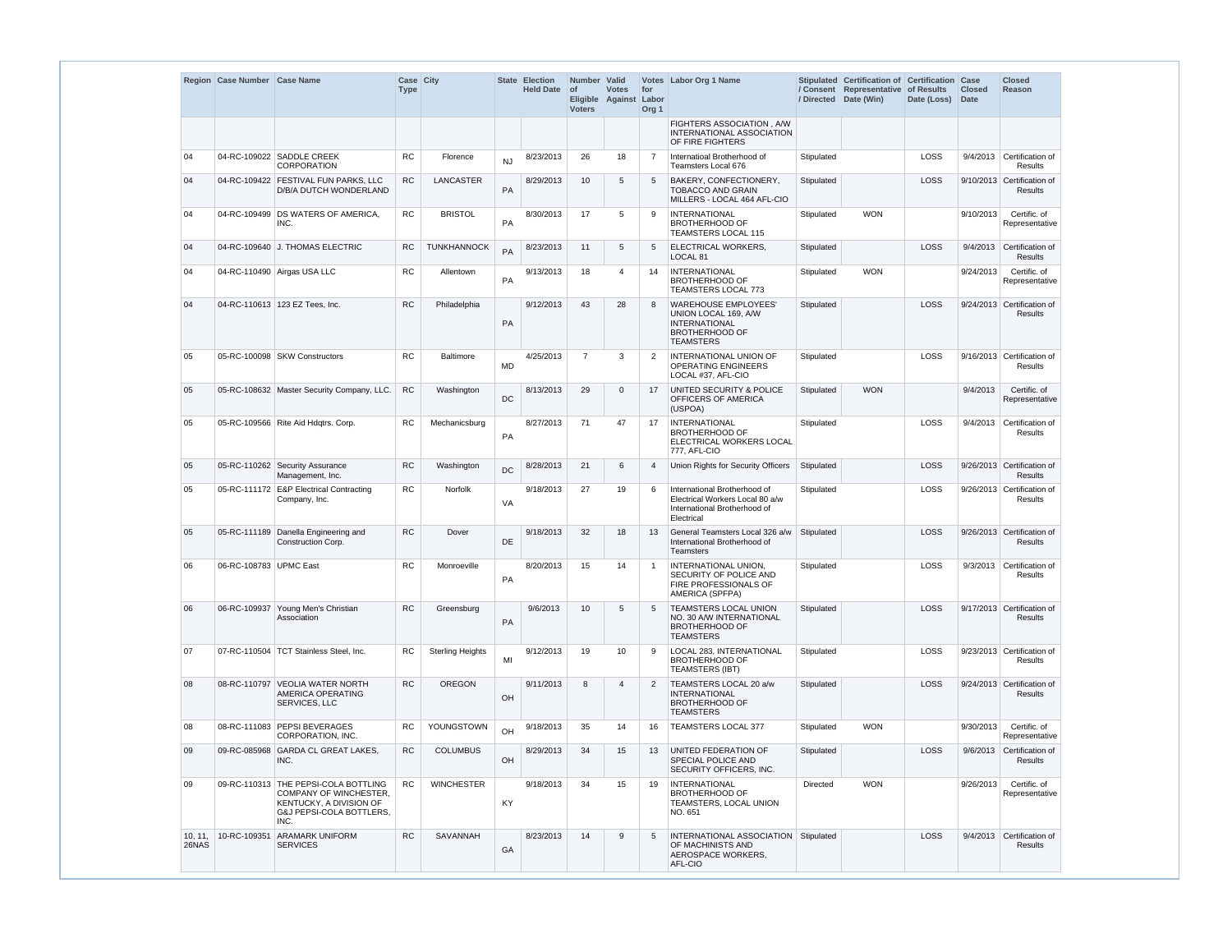|                  | Region Case Number Case Name |                                                                                                                               | Case City<br><b>Type</b> |                         |           | State Election<br><b>Held Date</b> | Number Valid<br>$ $ of<br><b>Voters</b> | <b>Votes</b><br>Eligible Against Labor | for<br>Org <sub>1</sub> | Votes Labor Org 1 Name                                                                                                   | / Directed | Stipulated Certification of Certification Case<br>/ Consent Representative of Results<br>Date (Win) | Date (Loss) | <b>Closed</b><br>Date | <b>Closed</b><br><b>Reason</b>               |
|------------------|------------------------------|-------------------------------------------------------------------------------------------------------------------------------|--------------------------|-------------------------|-----------|------------------------------------|-----------------------------------------|----------------------------------------|-------------------------|--------------------------------------------------------------------------------------------------------------------------|------------|-----------------------------------------------------------------------------------------------------|-------------|-----------------------|----------------------------------------------|
|                  |                              |                                                                                                                               |                          |                         |           |                                    |                                         |                                        |                         | FIGHTERS ASSOCIATION, A/W<br>INTERNATIONAL ASSOCIATION<br>OF FIRE FIGHTERS                                               |            |                                                                                                     |             |                       |                                              |
| 04               |                              | 04-RC-109022 SADDLE CREEK<br><b>CORPORATION</b>                                                                               | <b>RC</b>                | Florence                | NJ        | 8/23/2013                          | 26                                      | 18                                     | $\overline{7}$          | Internatioal Brotherhood of<br>Teamsters Local 676                                                                       | Stipulated |                                                                                                     | LOSS        |                       | 9/4/2013 Certification of<br>Results         |
| 04               |                              | 04-RC-109422 FESTIVAL FUN PARKS, LLC<br>D/B/A DUTCH WONDERLAND                                                                | <b>RC</b>                | <b>LANCASTER</b>        | PA        | 8/29/2013                          | 10                                      | 5                                      | 5                       | BAKERY, CONFECTIONERY,<br><b>TOBACCO AND GRAIN</b><br>MILLERS - LOCAL 464 AFL-CIO                                        | Stipulated |                                                                                                     | LOSS        |                       | 9/10/2013 Certification of<br><b>Results</b> |
| 04               |                              | 04-RC-109499 DS WATERS OF AMERICA.<br>INC.                                                                                    | <b>RC</b>                | <b>BRISTOL</b>          | PA        | 8/30/2013                          | 17                                      | 5                                      | 9                       | <b>INTERNATIONAL</b><br><b>BROTHERHOOD OF</b><br><b>TEAMSTERS LOCAL 115</b>                                              | Stipulated | <b>WON</b>                                                                                          |             | 9/10/2013             | Certific. of<br>Representative               |
| 04               |                              | 04-RC-109640 J. THOMAS ELECTRIC                                                                                               | <b>RC</b>                | <b>TUNKHANNOCK</b>      | PA        | 8/23/2013                          | 11                                      | 5                                      | 5                       | ELECTRICAL WORKERS,<br>LOCAL <sub>81</sub>                                                                               | Stipulated |                                                                                                     | LOSS        |                       | 9/4/2013 Certification of<br><b>Results</b>  |
| 04               |                              | 04-RC-110490 Airgas USA LLC                                                                                                   | <b>RC</b>                | Allentown               | PA        | 9/13/2013                          | 18                                      | $\overline{4}$                         | 14                      | <b>INTERNATIONAL</b><br><b>BROTHERHOOD OF</b><br><b>TEAMSTERS LOCAL 773</b>                                              | Stipulated | <b>WON</b>                                                                                          |             | 9/24/2013             | Certific. of<br>Representative               |
| 04               |                              | 04-RC-110613 123 EZ Tees, Inc.                                                                                                | <b>RC</b>                | Philadelphia            | <b>PA</b> | 9/12/2013                          | 43                                      | 28                                     | 8                       | <b>WAREHOUSE EMPLOYEES'</b><br>UNION LOCAL 169, A/W<br><b>INTERNATIONAL</b><br><b>BROTHERHOOD OF</b><br><b>TEAMSTERS</b> | Stipulated |                                                                                                     | <b>LOSS</b> |                       | 9/24/2013 Certification of<br><b>Results</b> |
| 05               |                              | 05-RC-100098 SKW Constructors                                                                                                 | <b>RC</b>                | <b>Baltimore</b>        | <b>MD</b> | 4/25/2013                          | $\overline{7}$                          | 3                                      | $\overline{2}$          | INTERNATIONAL UNION OF<br>OPERATING ENGINEERS<br>LOCAL #37, AFL-CIO                                                      | Stipulated |                                                                                                     | LOSS        |                       | 9/16/2013 Certification of<br>Results        |
| 05               |                              | 05-RC-108632 Master Security Company, LLC.                                                                                    | <b>RC</b>                | Washington              | DC        | 8/13/2013                          | 29                                      | $\Omega$                               | 17                      | <b>UNITED SECURITY &amp; POLICE</b><br>OFFICERS OF AMERICA<br>(USPOA)                                                    | Stipulated | <b>WON</b>                                                                                          |             | 9/4/2013              | Certific. of<br>Representative               |
| 05               |                              | 05-RC-109566 Rite Aid Hdgtrs. Corp.                                                                                           | <b>RC</b>                | Mechanicsburg           | PA        | 8/27/2013                          | 71                                      | 47                                     | 17                      | <b>INTERNATIONAL</b><br><b>BROTHERHOOD OF</b><br>ELECTRICAL WORKERS LOCAL<br>777, AFL-CIO                                | Stipulated |                                                                                                     | <b>LOSS</b> | 9/4/2013              | Certification of<br><b>Results</b>           |
| 05               |                              | 05-RC-110262 Security Assurance<br>Management, Inc.                                                                           | <b>RC</b>                | Washington              | <b>DC</b> | 8/28/2013                          | 21                                      | 6                                      | $\overline{4}$          | Union Rights for Security Officers                                                                                       | Stipulated |                                                                                                     | LOSS        |                       | 9/26/2013 Certification of<br><b>Results</b> |
| 05               |                              | 05-RC-111172 E&P Electrical Contracting<br>Company, Inc.                                                                      | <b>RC</b>                | Norfolk                 | VA        | 9/18/2013                          | 27                                      | 19                                     | 6                       | International Brotherhood of<br>Electrical Workers Local 80 a/w<br>International Brotherhood of<br>Electrical            | Stipulated |                                                                                                     | LOSS        |                       | 9/26/2013 Certification of<br>Results        |
| 05               |                              | 05-RC-111189 Danella Engineering and<br>Construction Corp.                                                                    | <b>RC</b>                | Dover                   | <b>DE</b> | 9/18/2013                          | 32                                      | 18                                     | 13                      | General Teamsters Local 326 a/w<br>International Brotherhood of<br><b>Teamsters</b>                                      | Stipulated |                                                                                                     | <b>LOSS</b> |                       | 9/26/2013 Certification of<br>Results        |
| 06               | 06-RC-108783 UPMC East       |                                                                                                                               | <b>RC</b>                | Monroeville             | PA        | 8/20/2013                          | 15                                      | 14                                     | $\overline{1}$          | INTERNATIONAL UNION.<br>SECURITY OF POLICE AND<br>FIRE PROFESSIONALS OF<br>AMERICA (SPFPA)                               | Stipulated |                                                                                                     | LOSS        |                       | 9/3/2013 Certification of<br>Results         |
| 06               |                              | 06-RC-109937 Young Men's Christian<br>Association                                                                             | <b>RC</b>                | Greensburg              | PA        | 9/6/2013                           | 10                                      | 5                                      | 5                       | <b>TEAMSTERS LOCAL UNION</b><br>NO. 30 A/W INTERNATIONAL<br><b>BROTHERHOOD OF</b><br><b>TEAMSTERS</b>                    | Stipulated |                                                                                                     | LOSS        |                       | 9/17/2013 Certification of<br><b>Results</b> |
| 07               |                              | 07-RC-110504   TCT Stainless Steel, Inc.                                                                                      | <b>RC</b>                | <b>Sterling Heights</b> | MI        | 9/12/2013                          | 19                                      | 10                                     | 9                       | LOCAL 283. INTERNATIONAL<br><b>BROTHERHOOD OF</b><br><b>TEAMSTERS (IBT)</b>                                              | Stipulated |                                                                                                     | LOSS        |                       | 9/23/2013 Certification of<br><b>Results</b> |
| 08               |                              | 08-RC-110797 VEOLIA WATER NORTH<br>AMERICA OPERATING<br>SERVICES, LLC                                                         | <b>RC</b>                | OREGON                  | OH        | 9/11/2013                          | 8                                       | $\overline{4}$                         | 2                       | TEAMSTERS LOCAL 20 a/w<br><b>INTERNATIONAL</b><br><b>BROTHERHOOD OF</b><br><b>TEAMSTERS</b>                              | Stipulated |                                                                                                     | LOSS        |                       | 9/24/2013 Certification of<br><b>Results</b> |
| 08               |                              | 08-RC-111083 PEPSI BEVERAGES<br>CORPORATION, INC.                                                                             | <b>RC</b>                | YOUNGSTOWN              | OH        | 9/18/2013                          | 35                                      | 14                                     | 16                      | TEAMSTERS LOCAL 377                                                                                                      | Stipulated | <b>WON</b>                                                                                          |             | 9/30/2013             | Certific. of<br>Representative               |
| 09               | 09-RC-085968                 | <b>GARDA CL GREAT LAKES,</b><br>INC.                                                                                          | <b>RC</b>                | <b>COLUMBUS</b>         | OH        | 8/29/2013                          | 34                                      | 15                                     | 13                      | UNITED FEDERATION OF<br>SPECIAL POLICE AND<br>SECURITY OFFICERS, INC.                                                    | Stipulated |                                                                                                     | LOSS        | 9/6/2013              | Certification of<br><b>Results</b>           |
| 09               |                              | 09-RC-110313 THE PEPSI-COLA BOTTLING<br>COMPANY OF WINCHESTER,<br>KENTUCKY, A DIVISION OF<br>G&J PEPSI-COLA BOTTLERS,<br>INC. | <b>RC</b>                | <b>WINCHESTER</b>       | <b>KY</b> | 9/18/2013                          | 34                                      | 15                                     | 19                      | <b>INTERNATIONAL</b><br><b>BROTHERHOOD OF</b><br>TEAMSTERS, LOCAL UNION<br>NO. 651                                       | Directed   | <b>WON</b>                                                                                          |             | 9/26/2013             | Certific. of<br>Representative               |
| 10, 11,<br>26NAS | 10-RC-109351                 | <b>ARAMARK UNIFORM</b><br><b>SERVICES</b>                                                                                     | <b>RC</b>                | <b>SAVANNAH</b>         | GA        | 8/23/2013                          | 14                                      | 9                                      | 5                       | INTERNATIONAL ASSOCIATION   Stipulated<br>OF MACHINISTS AND<br>AEROSPACE WORKERS,<br>AFL-CIO                             |            |                                                                                                     | LOSS        |                       | 9/4/2013 Certification of<br>Results         |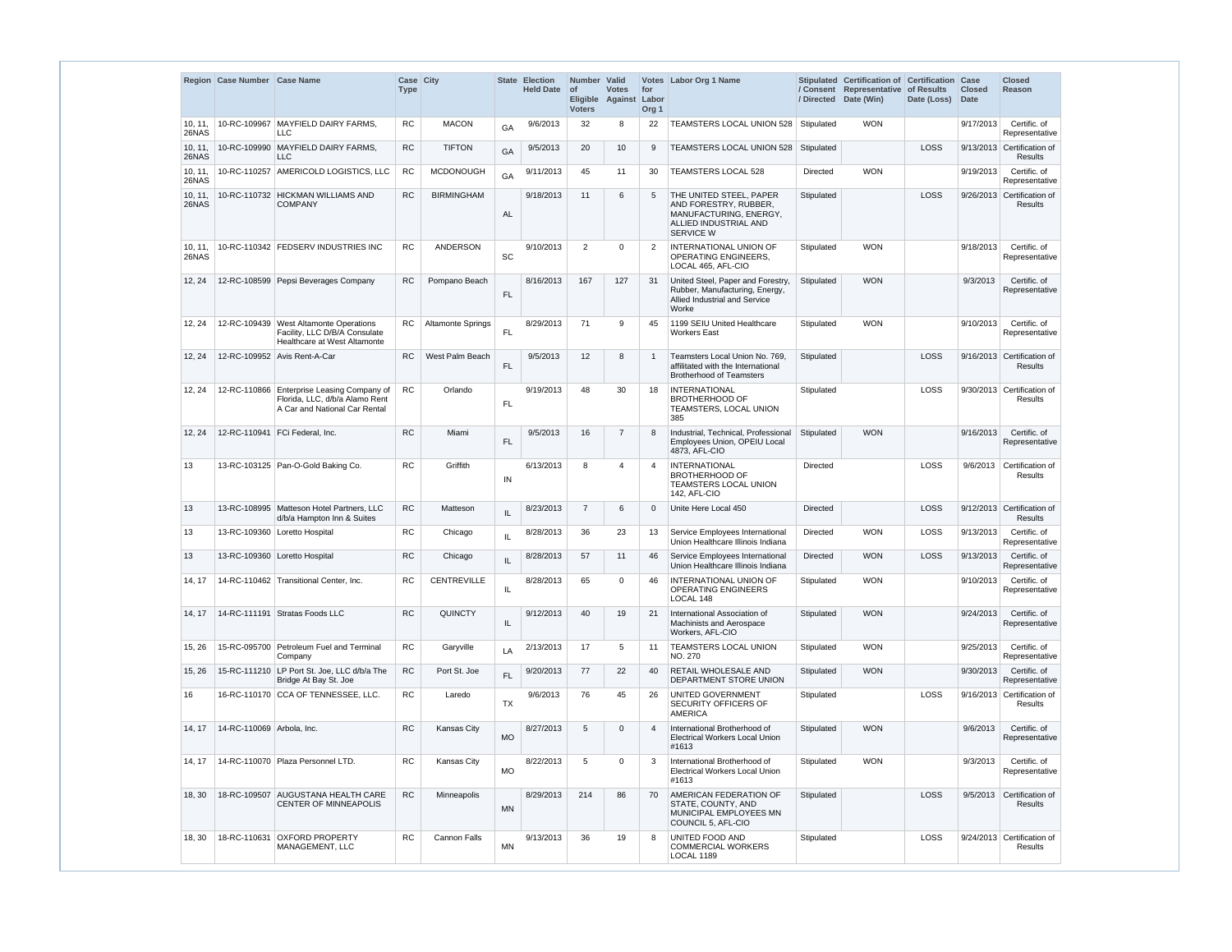|                  | Region Case Number Case Name |                                                                                                               | Case City<br><b>Type</b> |                          |           | State Election<br><b>Held Date</b> | Number Valid<br><b>of</b><br><b>Voters</b> | <b>Votes</b><br>Eligible Against Labor | for<br>Org <sub>1</sub> | Votes Labor Org 1 Name                                                                                                  |                 | Stipulated Certification of Certification Case<br>/ Consent Representative of Results<br>/ Directed   Date (Win) | Date (Loss) | <b>Closed</b><br><b>Date</b> | <b>Closed</b><br><b>Reason</b>               |
|------------------|------------------------------|---------------------------------------------------------------------------------------------------------------|--------------------------|--------------------------|-----------|------------------------------------|--------------------------------------------|----------------------------------------|-------------------------|-------------------------------------------------------------------------------------------------------------------------|-----------------|------------------------------------------------------------------------------------------------------------------|-------------|------------------------------|----------------------------------------------|
| 10, 11.<br>26NAS |                              | 10-RC-109967 MAYFIELD DAIRY FARMS,<br><b>LLC</b>                                                              | RC                       | <b>MACON</b>             | GA        | 9/6/2013                           | 32                                         | 8                                      | 22                      | TEAMSTERS LOCAL UNION 528 Stipulated                                                                                    |                 | <b>WON</b>                                                                                                       |             | 9/17/2013                    | Certific. of<br>Representative               |
| 10, 11,<br>26NAS |                              | 10-RC-109990 MAYFIELD DAIRY FARMS,<br><b>LLC</b>                                                              | <b>RC</b>                | <b>TIFTON</b>            | GA        | 9/5/2013                           | 20                                         | 10 <sup>°</sup>                        | 9                       | TEAMSTERS LOCAL UNION 528   Stipulated                                                                                  |                 |                                                                                                                  | <b>LOSS</b> |                              | 9/13/2013 Certification of<br><b>Results</b> |
| 10, 11,<br>26NAS |                              | 10-RC-110257 AMERICOLD LOGISTICS, LLC                                                                         | <b>RC</b>                | <b>MCDONOUGH</b>         | GA        | 9/11/2013                          | 45                                         | 11                                     | 30                      | <b>TEAMSTERS LOCAL 528</b>                                                                                              | Directed        | <b>WON</b>                                                                                                       |             | 9/19/2013                    | Certific. of<br>Representative               |
| 10, 11,<br>26NAS |                              | 10-RC-110732 HICKMAN WILLIAMS AND<br><b>COMPANY</b>                                                           | <b>RC</b>                | <b>BIRMINGHAM</b>        | <b>AL</b> | 9/18/2013                          | 11                                         | 6                                      | 5                       | THE UNITED STEEL, PAPER<br>AND FORESTRY, RUBBER,<br>MANUFACTURING, ENERGY,<br>ALLIED INDUSTRIAL AND<br><b>SERVICE W</b> | Stipulated      |                                                                                                                  | LOSS        |                              | 9/26/2013 Certification of<br><b>Results</b> |
| 10, 11,<br>26NAS |                              | 10-RC-110342 FEDSERV INDUSTRIES INC                                                                           | <b>RC</b>                | <b>ANDERSON</b>          | SC        | 9/10/2013                          | 2                                          | $\Omega$                               | 2                       | INTERNATIONAL UNION OF<br>OPERATING ENGINEERS.<br>LOCAL 465, AFL-CIO                                                    | Stipulated      | <b>WON</b>                                                                                                       |             | 9/18/2013                    | Certific. of<br>Representative               |
| 12, 24           |                              | 12-RC-108599 Pepsi Beverages Company                                                                          | <b>RC</b>                | Pompano Beach            | <b>FL</b> | 8/16/2013                          | 167                                        | 127                                    | 31                      | United Steel, Paper and Forestry,<br>Rubber, Manufacturing, Energy,<br>Allied Industrial and Service<br>Worke           | Stipulated      | <b>WON</b>                                                                                                       |             | 9/3/2013                     | Certific. of<br>Representative               |
| 12, 24           |                              | 12-RC-109439 West Altamonte Operations<br>Facility, LLC D/B/A Consulate<br>Healthcare at West Altamonte       | RC.                      | <b>Altamonte Springs</b> | <b>FL</b> | 8/29/2013                          | 71                                         | 9                                      | 45                      | 1199 SEIU United Healthcare<br><b>Workers East</b>                                                                      | Stipulated      | <b>WON</b>                                                                                                       |             | 9/10/2013                    | Certific. of<br>Representative               |
| 12, 24           |                              | 12-RC-109952 Avis Rent-A-Car                                                                                  | <b>RC</b>                | West Palm Beach          | FL.       | 9/5/2013                           | 12                                         | 8                                      | $\mathbf 1$             | Teamsters Local Union No. 769,<br>affilitated with the International<br><b>Brotherhood of Teamsters</b>                 | Stipulated      |                                                                                                                  | <b>LOSS</b> |                              | 9/16/2013 Certification of<br>Results        |
| 12, 24           |                              | 12-RC-110866 Enterprise Leasing Company of<br>Florida, LLC, d/b/a Alamo Rent<br>A Car and National Car Rental | RC.                      | Orlando                  | <b>FL</b> | 9/19/2013                          | 48                                         | 30                                     | 18                      | <b>INTERNATIONAL</b><br><b>BROTHERHOOD OF</b><br>TEAMSTERS, LOCAL UNION<br>385                                          | Stipulated      |                                                                                                                  | LOSS        |                              | 9/30/2013 Certification of<br>Results        |
| 12, 24           |                              | 12-RC-110941   FCi Federal, Inc.                                                                              | <b>RC</b>                | Miami                    | <b>FL</b> | 9/5/2013                           | 16                                         | $\overline{7}$                         | 8                       | Industrial, Technical, Professional<br>Employees Union, OPEIU Local<br>4873, AFL-CIO                                    | Stipulated      | <b>WON</b>                                                                                                       |             | 9/16/2013                    | Certific. of<br>Representative               |
| 13               |                              | 13-RC-103125 Pan-O-Gold Baking Co.                                                                            | <b>RC</b>                | Griffith                 | IN        | 6/13/2013                          | 8                                          | 4                                      | 4                       | <b>INTERNATIONAL</b><br><b>BROTHERHOOD OF</b><br><b>TEAMSTERS LOCAL UNION</b><br>142, AFL-CIO                           | Directed        |                                                                                                                  | LOSS        | 9/6/2013                     | Certification of<br>Results                  |
| 13               |                              | 13-RC-108995   Matteson Hotel Partners, LLC<br>d/b/a Hampton Inn & Suites                                     | <b>RC</b>                | Matteson                 | IL        | 8/23/2013                          | $\overline{7}$                             | 6                                      | $\mathbf 0$             | Unite Here Local 450                                                                                                    | Directed        |                                                                                                                  | LOSS        |                              | 9/12/2013 Certification of<br>Results        |
| 13               |                              | 13-RC-109360   Loretto Hospital                                                                               | RC                       | Chicago                  | IL        | 8/28/2013                          | 36                                         | 23                                     | 13                      | Service Employees International<br>Union Healthcare Illinois Indiana                                                    | Directed        | <b>WON</b>                                                                                                       | LOSS        | 9/13/2013                    | Certific. of<br>Representative               |
| 13               |                              | 13-RC-109360 Loretto Hospital                                                                                 | <b>RC</b>                | Chicago                  | IL        | 8/28/2013                          | 57                                         | 11                                     | 46                      | Service Employees International<br>Union Healthcare Illinois Indiana                                                    | <b>Directed</b> | <b>WON</b>                                                                                                       | <b>LOSS</b> | 9/13/2013                    | Certific, of<br>Representative               |
| 14, 17           |                              | 14-RC-110462 Transitional Center, Inc.                                                                        | <b>RC</b>                | CENTREVILLE              | IL        | 8/28/2013                          | 65                                         | $\Omega$                               | 46                      | <b>INTERNATIONAL UNION OF</b><br><b>OPERATING ENGINEERS</b><br>LOCAL 148                                                | Stipulated      | <b>WON</b>                                                                                                       |             | 9/10/2013                    | Certific, of<br>Representative               |
| 14, 17           |                              | 14-RC-111191 Stratas Foods LLC                                                                                | <b>RC</b>                | <b>QUINCTY</b>           | IL        | 9/12/2013                          | 40                                         | 19                                     | 21                      | International Association of<br>Machinists and Aerospace<br>Workers, AFL-CIO                                            | Stipulated      | <b>WON</b>                                                                                                       |             | 9/24/2013                    | Certific. of<br>Representative               |
| 15, 26           |                              | 15-RC-095700 Petroleum Fuel and Terminal<br>Company                                                           | RC                       | Garyville                | LA        | 2/13/2013                          | 17                                         | 5                                      | 11                      | <b>TEAMSTERS LOCAL UNION</b><br>NO. 270                                                                                 | Stipulated      | <b>WON</b>                                                                                                       |             | 9/25/2013                    | Certific. of<br>Representative               |
| 15, 26           |                              | 15-RC-111210 LP Port St. Joe, LLC d/b/a The<br>Bridge At Bay St. Joe                                          | ${\sf RC}$               | Port St. Joe             | FL.       | 9/20/2013                          | 77                                         | 22                                     | 40                      | RETAIL WHOLESALE AND<br>DEPARTMENT STORE UNION                                                                          | Stipulated      | <b>WON</b>                                                                                                       |             | 9/30/2013                    | Certific. of<br>Representative               |
| 16               |                              | 16-RC-110170 CCA OF TENNESSEE, LLC.                                                                           | <b>RC</b>                | Laredo                   | <b>TX</b> | 9/6/2013                           | 76                                         | 45                                     | 26                      | UNITED GOVERNMENT<br>SECURITY OFFICERS OF<br><b>AMERICA</b>                                                             | Stipulated      |                                                                                                                  | LOSS        |                              | 9/16/2013 Certification of<br><b>Results</b> |
| 14, 17           | 14-RC-110069 Arbola, Inc.    |                                                                                                               | <b>RC</b>                | Kansas City              | <b>MO</b> | 8/27/2013                          | 5                                          | $\Omega$                               | $\overline{4}$          | International Brotherhood of<br><b>Electrical Workers Local Union</b><br>#1613                                          | Stipulated      | <b>WON</b>                                                                                                       |             | 9/6/2013                     | Certific. of<br>Representative               |
| 14, 17           |                              | 14-RC-110070 Plaza Personnel LTD.                                                                             | <b>RC</b>                | Kansas City              | MO        | 8/22/2013                          | 5                                          | $\Omega$                               | 3                       | International Brotherhood of<br><b>Electrical Workers Local Union</b><br>#1613                                          | Stipulated      | <b>WON</b>                                                                                                       |             | 9/3/2013                     | Certific. of<br>Representative               |
| 18, 30           |                              | 18-RC-109507 AUGUSTANA HEALTH CARE<br><b>CENTER OF MINNEAPOLIS</b>                                            | <b>RC</b>                | Minneapolis              | <b>MN</b> | 8/29/2013                          | 214                                        | 86                                     | 70                      | AMERICAN FEDERATION OF<br>STATE, COUNTY, AND<br>MUNICIPAL EMPLOYEES MN<br>COUNCIL 5, AFL-CIO                            | Stipulated      |                                                                                                                  | LOSS        |                              | 9/5/2013 Certification of<br><b>Results</b>  |
| 18, 30           | 18-RC-110631                 | <b>OXFORD PROPERTY</b><br>MANAGEMENT, LLC                                                                     | <b>RC</b>                | Cannon Falls             | <b>MN</b> | 9/13/2013                          | 36                                         | 19                                     | 8                       | UNITED FOOD AND<br><b>COMMERCIAL WORKERS</b><br><b>LOCAL 1189</b>                                                       | Stipulated      |                                                                                                                  | LOSS        |                              | 9/24/2013 Certification of<br>Results        |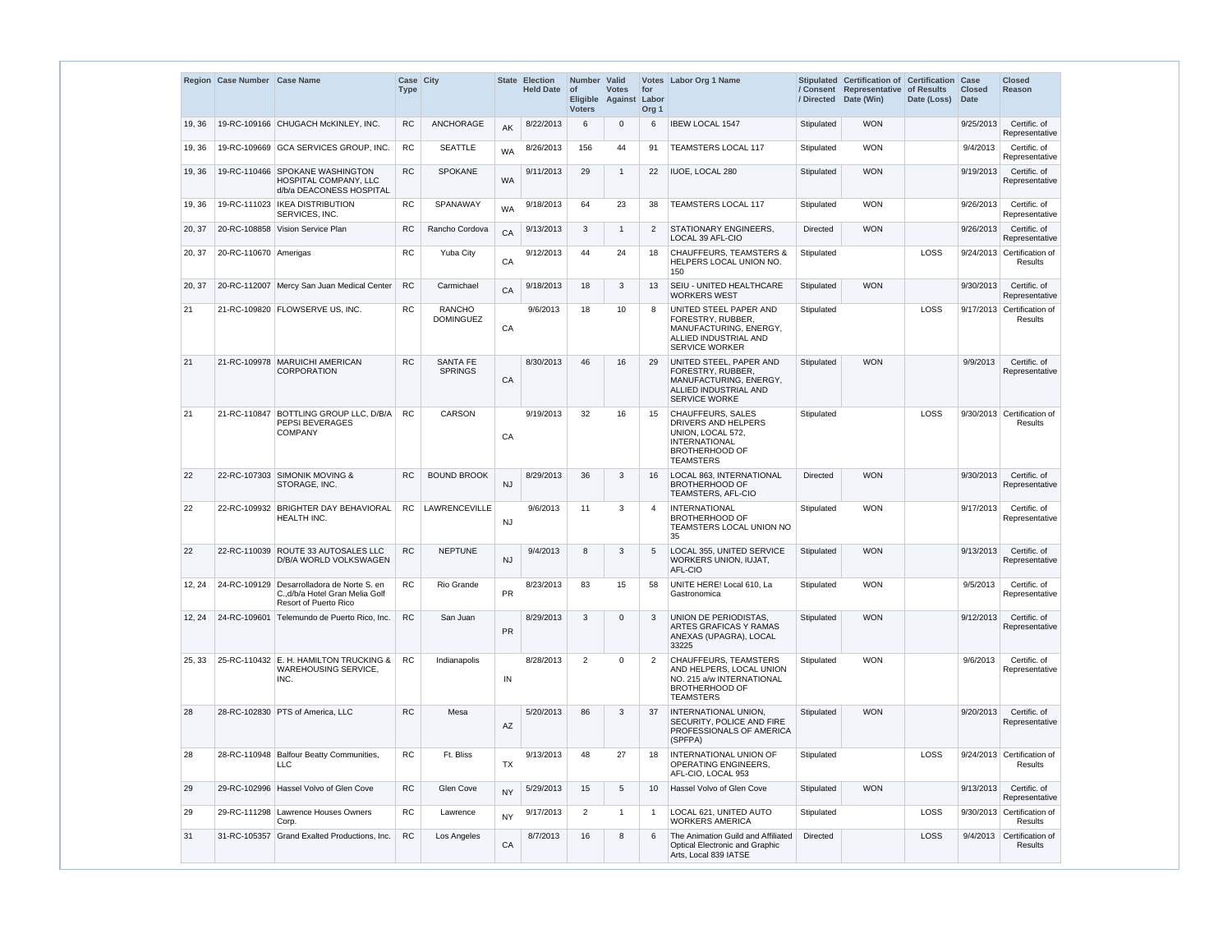|        | Region Case Number Case Name |                                                                                                               | Case City<br><b>Type</b> |                                   | <b>State</b> | <b>Election</b><br><b>Held Date</b> | Number Valid<br><b>of</b><br><b>Voters</b> | <b>Votes</b><br>Eligible Against Labor | for<br>Org <sub>1</sub> | Votes Labor Org 1 Name                                                                                                                    |                 | Stipulated Certification of Certification Case<br>/ Consent Representative of Results<br>/ Directed Date (Win) | Date (Loss) | <b>Closed</b><br>Date | <b>Closed</b><br><b>Reason</b>               |
|--------|------------------------------|---------------------------------------------------------------------------------------------------------------|--------------------------|-----------------------------------|--------------|-------------------------------------|--------------------------------------------|----------------------------------------|-------------------------|-------------------------------------------------------------------------------------------------------------------------------------------|-----------------|----------------------------------------------------------------------------------------------------------------|-------------|-----------------------|----------------------------------------------|
| 19, 36 |                              | 19-RC-109166 CHUGACH McKINLEY, INC.                                                                           | <b>RC</b>                | ANCHORAGE                         | AK           | 8/22/2013                           | 6                                          | $\mathbf 0$                            | 6                       | <b>IBEW LOCAL 1547</b>                                                                                                                    | Stipulated      | <b>WON</b>                                                                                                     |             | 9/25/2013             | Certific. of<br>Representative               |
| 19, 36 |                              | 19-RC-109669 GCA SERVICES GROUP, INC.                                                                         | <b>RC</b>                | <b>SEATTLE</b>                    | <b>WA</b>    | 8/26/2013                           | 156                                        | 44                                     | 91                      | <b>TEAMSTERS LOCAL 117</b>                                                                                                                | Stipulated      | <b>WON</b>                                                                                                     |             | 9/4/2013              | Certific. of<br>Representative               |
| 19, 36 |                              | 19-RC-110466 SPOKANE WASHINGTON<br>HOSPITAL COMPANY, LLC<br>d/b/a DEACONESS HOSPITAL                          | <b>RC</b>                | <b>SPOKANE</b>                    | <b>WA</b>    | 9/11/2013                           | 29                                         | $\overline{1}$                         | 22                      | IUOE, LOCAL 280                                                                                                                           | Stipulated      | <b>WON</b>                                                                                                     |             | 9/19/2013             | Certific. of<br>Representative               |
| 19, 36 |                              | 19-RC-111023   IKEA DISTRIBUTION<br>SERVICES, INC.                                                            | <b>RC</b>                | <b>SPANAWAY</b>                   | <b>WA</b>    | 9/18/2013                           | 64                                         | 23                                     | 38                      | <b>TEAMSTERS LOCAL 117</b>                                                                                                                | Stipulated      | <b>WON</b>                                                                                                     |             | 9/26/2013             | Certific. of<br>Representative               |
| 20, 37 |                              | 20-RC-108858   Vision Service Plan                                                                            | <b>RC</b>                | Rancho Cordova                    | CA           | 9/13/2013                           | 3                                          | -1                                     | 2                       | STATIONARY ENGINEERS.<br>LOCAL 39 AFL-CIO                                                                                                 | <b>Directed</b> | <b>WON</b>                                                                                                     |             | 9/26/2013             | Certific. of<br>Representative               |
| 20, 37 | 20-RC-110670 Amerigas        |                                                                                                               | <b>RC</b>                | Yuba City                         | CA           | 9/12/2013                           | 44                                         | 24                                     | 18                      | <b>CHAUFFEURS, TEAMSTERS &amp;</b><br>HELPERS LOCAL UNION NO.<br>150                                                                      | Stipulated      |                                                                                                                | LOSS        |                       | 9/24/2013 Certification of<br><b>Results</b> |
| 20, 37 |                              | 20-RC-112007 Mercy San Juan Medical Center                                                                    | <b>RC</b>                | Carmichael                        | CA           | 9/18/2013                           | 18                                         | -3                                     | 13                      | SEIU - UNITED HEALTHCARE<br><b>WORKERS WEST</b>                                                                                           | Stipulated      | <b>WON</b>                                                                                                     |             | 9/30/2013             | Certific. of<br>Representative               |
| 21     |                              | 21-RC-109820   FLOWSERVE US, INC.                                                                             | <b>RC</b>                | <b>RANCHO</b><br><b>DOMINGUEZ</b> | CA           | 9/6/2013                            | 18                                         | 10                                     | 8                       | UNITED STEEL PAPER AND<br>FORESTRY, RUBBER,<br>MANUFACTURING, ENERGY,<br>ALLIED INDUSTRIAL AND<br><b>SERVICE WORKER</b>                   | Stipulated      |                                                                                                                | LOSS        |                       | 9/17/2013 Certification of<br>Results        |
| 21     |                              | 21-RC-109978 MARUICHI AMERICAN<br><b>CORPORATION</b>                                                          | <b>RC</b>                | <b>SANTA FE</b><br><b>SPRINGS</b> | CA           | 8/30/2013                           | 46                                         | 16                                     | 29                      | UNITED STEEL, PAPER AND<br>FORESTRY, RUBBER,<br>MANUFACTURING, ENERGY,<br>ALLIED INDUSTRIAL AND<br><b>SERVICE WORKE</b>                   | Stipulated      | <b>WON</b>                                                                                                     |             | 9/9/2013              | Certific. of<br>Representative               |
| 21     |                              | 21-RC-110847 BOTTLING GROUP LLC, D/B/A<br>PEPSI BEVERAGES<br><b>COMPANY</b>                                   | <b>RC</b>                | <b>CARSON</b>                     | CA           | 9/19/2013                           | 32                                         | 16                                     | 15                      | <b>CHAUFFEURS, SALES</b><br>DRIVERS AND HELPERS<br>UNION, LOCAL 572,<br><b>INTERNATIONAL</b><br><b>BROTHERHOOD OF</b><br><b>TEAMSTERS</b> | Stipulated      |                                                                                                                | LOSS        |                       | 9/30/2013 Certification of<br>Results        |
| 22     |                              | 22-RC-107303 SIMONIK MOVING &<br>STORAGE, INC.                                                                | <b>RC</b>                | <b>BOUND BROOK</b>                | <b>NJ</b>    | 8/29/2013                           | 36                                         | -3                                     | 16                      | LOCAL 863, INTERNATIONAL<br><b>BROTHERHOOD OF</b><br>TEAMSTERS, AFL-CIO                                                                   | Directed        | <b>WON</b>                                                                                                     |             | 9/30/2013             | Certific. of<br>Representative               |
| 22     |                              | 22-RC-109932 BRIGHTER DAY BEHAVIORAL<br>HEALTH INC.                                                           | RC.                      | <b>LAWRENCEVILLE</b>              | NJ.          | 9/6/2013                            | 11                                         | 3                                      | 4                       | <b>INTERNATIONAL</b><br><b>BROTHERHOOD OF</b><br>TEAMSTERS LOCAL UNION NO<br>35                                                           | Stipulated      | <b>WON</b>                                                                                                     |             | 9/17/2013             | Certific. of<br>Representative               |
| 22     |                              | 22-RC-110039 ROUTE 33 AUTOSALES LLC<br>D/B/A WORLD VOLKSWAGEN                                                 | <b>RC</b>                | <b>NEPTUNE</b>                    | <b>NJ</b>    | 9/4/2013                            | 8                                          | 3                                      | 5                       | LOCAL 355. UNITED SERVICE<br>WORKERS UNION, IUJAT,<br>AFL-CIO                                                                             | Stipulated      | <b>WON</b>                                                                                                     |             | 9/13/2013             | Certific. of<br>Representative               |
| 12, 24 |                              | 24-RC-109129 Desarrolladora de Norte S. en<br>C., d/b/a Hotel Gran Melia Golf<br><b>Resort of Puerto Rico</b> | <b>RC</b>                | Rio Grande                        | <b>PR</b>    | 8/23/2013                           | 83                                         | 15                                     | 58                      | UNITE HERE! Local 610, La<br>Gastronomica                                                                                                 | Stipulated      | <b>WON</b>                                                                                                     |             | 9/5/2013              | Certific, of<br>Representative               |
| 12, 24 |                              | 24-RC-109601 Telemundo de Puerto Rico, Inc.                                                                   | <b>RC</b>                | San Juan                          | PR           | 8/29/2013                           | 3                                          | $\Omega$                               | 3                       | UNION DE PERIODISTAS.<br>ARTES GRAFICAS Y RAMAS<br>ANEXAS (UPAGRA), LOCAL<br>33225                                                        | Stipulated      | <b>WON</b>                                                                                                     |             | 9/12/2013             | Certific. of<br>Representative               |
| 25, 33 |                              | $25$ -RC-110432 E. H. HAMILTON TRUCKING &<br>WAREHOUSING SERVICE,<br>INC.                                     | <b>RC</b>                | Indianapolis                      | IN           | 8/28/2013                           | 2                                          | $\mathbf 0$                            | 2                       | <b>CHAUFFEURS, TEAMSTERS</b><br>AND HELPERS, LOCAL UNION<br>NO. 215 a/w INTERNATIONAL<br><b>BROTHERHOOD OF</b><br><b>TEAMSTERS</b>        | Stipulated      | <b>WON</b>                                                                                                     |             | 9/6/2013              | Certific. of<br>Representative               |
| 28     |                              | 28-RC-102830 PTS of America, LLC                                                                              | <b>RC</b>                | Mesa                              | AZ           | 5/20/2013                           | 86                                         | 3                                      | 37                      | INTERNATIONAL UNION,<br>SECURITY, POLICE AND FIRE<br>PROFESSIONALS OF AMERICA<br>(SPFPA)                                                  | Stipulated      | <b>WON</b>                                                                                                     |             | 9/20/2013             | Certific. of<br>Representative               |
| 28     |                              | 28-RC-110948 Balfour Beatty Communities,<br>LLC.                                                              | <b>RC</b>                | Ft. Bliss                         | <b>TX</b>    | 9/13/2013                           | 48                                         | 27                                     | 18                      | INTERNATIONAL UNION OF<br><b>OPERATING ENGINEERS,</b><br>AFL-CIO, LOCAL 953                                                               | Stipulated      |                                                                                                                | LOSS        |                       | 9/24/2013 Certification of<br><b>Results</b> |
| 29     |                              | 29-RC-102996 Hassel Volvo of Glen Cove                                                                        | <b>RC</b>                | Glen Cove                         | <b>NY</b>    | 5/29/2013                           | 15                                         | 5                                      | 10                      | Hassel Volvo of Glen Cove                                                                                                                 | Stipulated      | <b>WON</b>                                                                                                     |             | 9/13/2013             | Certific. of<br>Representative               |
| 29     |                              | 29-RC-111298 Lawrence Houses Owners<br>Corp.                                                                  | <b>RC</b>                | Lawrence                          | <b>NY</b>    | 9/17/2013                           | $\overline{2}$                             | -1                                     | $\overline{1}$          | LOCAL 621, UNITED AUTO<br><b>WORKERS AMERICA</b>                                                                                          | Stipulated      |                                                                                                                | LOSS        |                       | 9/30/2013 Certification of<br>Results        |
| 31     | 31-RC-105357                 | Grand Exalted Productions, Inc.                                                                               | <b>RC</b>                | Los Angeles                       | CA           | 8/7/2013                            | 16                                         | 8                                      | 6                       | The Animation Guild and Affiliated<br><b>Optical Electronic and Graphic</b><br>Arts. Local 839 IATSE                                      | Directed        |                                                                                                                | LOSS        |                       | 9/4/2013 Certification of<br><b>Results</b>  |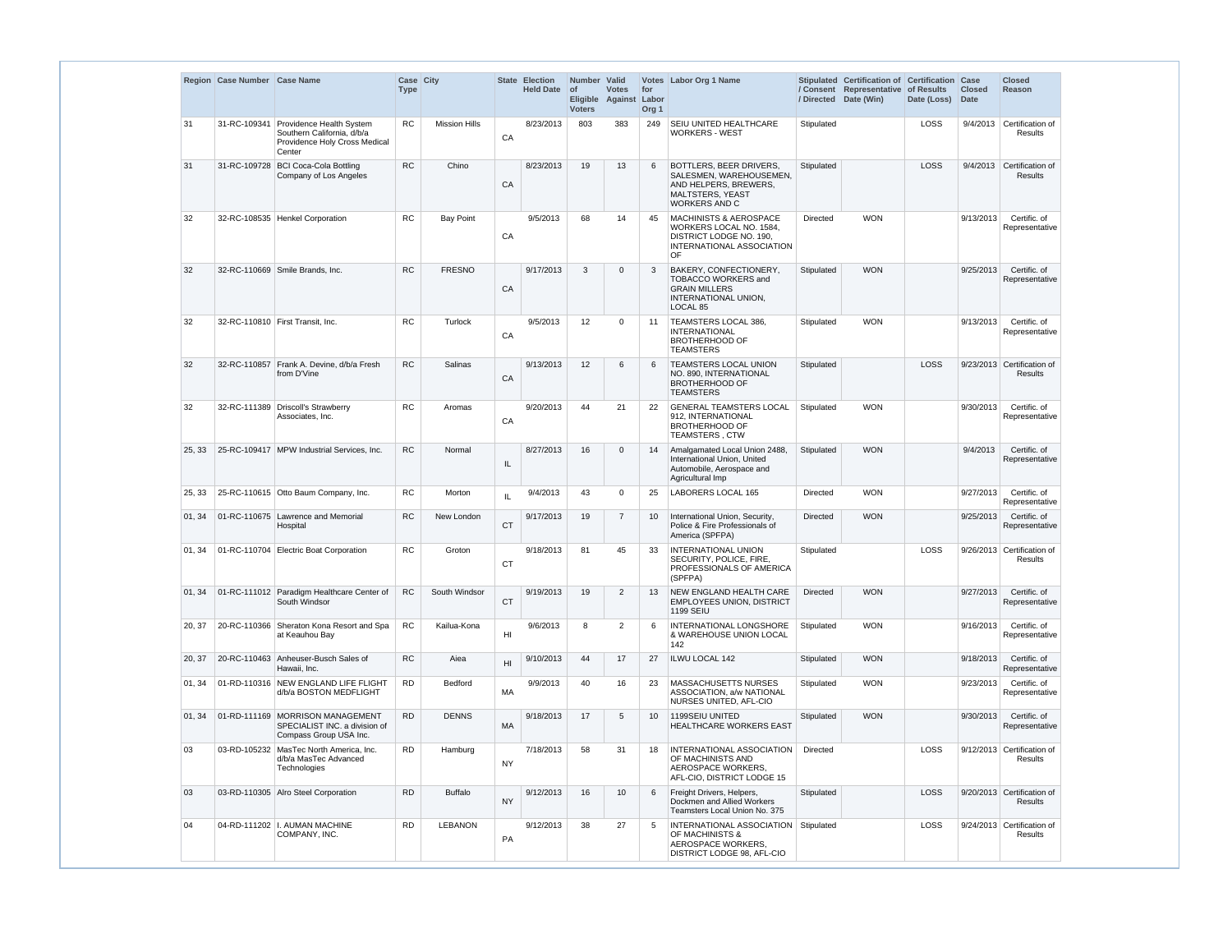|        | Region Case Number Case Name |                                                                                                   | Case City<br><b>Type</b> |                      |                 | <b>State Election</b><br><b>Held Date</b> | Number Valid<br>$\circ$ f<br><b>Voters</b> | <b>Votes</b><br>Eligible Against | for<br>Labor<br>Org <sub>1</sub> | Votes Labor Org 1 Name                                                                                                         |                 | Stipulated Certification of Certification Case<br>/ Consent Representative of Results<br>/ Directed Date (Win) | Date (Loss) | <b>Closed</b><br><b>Date</b> | <b>Closed</b><br><b>Reason</b>               |
|--------|------------------------------|---------------------------------------------------------------------------------------------------|--------------------------|----------------------|-----------------|-------------------------------------------|--------------------------------------------|----------------------------------|----------------------------------|--------------------------------------------------------------------------------------------------------------------------------|-----------------|----------------------------------------------------------------------------------------------------------------|-------------|------------------------------|----------------------------------------------|
| 31     | 31-RC-109341                 | Providence Health System<br>Southern California, d/b/a<br>Providence Holy Cross Medical<br>Center | <b>RC</b>                | <b>Mission Hills</b> | CA              | 8/23/2013                                 | 803                                        | 383                              | 249                              | SEIU UNITED HEALTHCARE<br><b>WORKERS - WEST</b>                                                                                | Stipulated      |                                                                                                                | LOSS        |                              | $9/4/2013$ Certification of<br>Results       |
| 31     | 31-RC-109728                 | <b>BCI Coca-Cola Bottling</b><br>Company of Los Angeles                                           | <b>RC</b>                | Chino                | CA              | 8/23/2013                                 | 19                                         | 13                               | 6                                | BOTTLERS, BEER DRIVERS,<br>SALESMEN, WAREHOUSEMEN,<br>AND HELPERS, BREWERS,<br><b>MALTSTERS, YEAST</b><br><b>WORKERS AND C</b> | Stipulated      |                                                                                                                | LOSS        |                              | 9/4/2013 Certification of<br><b>Results</b>  |
| 32     |                              | 32-RC-108535   Henkel Corporation                                                                 | <b>RC</b>                | <b>Bay Point</b>     | CA              | 9/5/2013                                  | 68                                         | 14                               | 45                               | <b>MACHINISTS &amp; AEROSPACE</b><br>WORKERS LOCAL NO. 1584,<br>DISTRICT LODGE NO. 190.<br>INTERNATIONAL ASSOCIATION<br>OF     | <b>Directed</b> | <b>WON</b>                                                                                                     |             | 9/13/2013                    | Certific. of<br>Representative               |
| 32     |                              | 32-RC-110669 Smile Brands, Inc.                                                                   | <b>RC</b>                | <b>FRESNO</b>        | CA              | 9/17/2013                                 | 3                                          | $\mathbf{0}$                     | 3                                | BAKERY, CONFECTIONERY,<br><b>TOBACCO WORKERS and</b><br><b>GRAIN MILLERS</b><br>INTERNATIONAL UNION,<br>LOCAL 85               | Stipulated      | <b>WON</b>                                                                                                     |             | 9/25/2013                    | Certific. of<br>Representative               |
| 32     |                              | 32-RC-110810 First Transit, Inc.                                                                  | <b>RC</b>                | Turlock              | CA              | 9/5/2013                                  | 12                                         | $\Omega$                         | -11                              | <b>TEAMSTERS LOCAL 386.</b><br><b>INTERNATIONAL</b><br><b>BROTHERHOOD OF</b><br><b>TEAMSTERS</b>                               | Stipulated      | <b>WON</b>                                                                                                     |             | 9/13/2013                    | Certific. of<br>Representative               |
| 32     |                              | 32-RC-110857   Frank A. Devine, d/b/a Fresh<br>from D'Vine                                        | <b>RC</b>                | Salinas              | CA              | 9/13/2013                                 | 12                                         | 6                                | 6                                | <b>TEAMSTERS LOCAL UNION</b><br>NO. 890, INTERNATIONAL<br><b>BROTHERHOOD OF</b><br><b>TEAMSTERS</b>                            | Stipulated      |                                                                                                                | LOSS        |                              | 9/23/2013 Certification of<br>Results        |
| 32     |                              | 32-RC-111389 Driscoll's Strawberry<br>Associates, Inc.                                            | <b>RC</b>                | Aromas               | CA              | 9/20/2013                                 | 44                                         | 21                               | 22                               | <b>GENERAL TEAMSTERS LOCAL</b><br>912, INTERNATIONAL<br><b>BROTHERHOOD OF</b><br>TEAMSTERS, CTW                                | Stipulated      | <b>WON</b>                                                                                                     |             | 9/30/2013                    | Certific. of<br>Representative               |
| 25, 33 |                              | 25-RC-109417 MPW Industrial Services, Inc.                                                        | <b>RC</b>                | Normal               | IL              | 8/27/2013                                 | 16                                         | $\Omega$                         | 14                               | Amalgamated Local Union 2488,<br>International Union, United<br>Automobile, Aerospace and<br>Agricultural Imp                  | Stipulated      | <b>WON</b>                                                                                                     |             | 9/4/2013                     | Certific. of<br>Representative               |
| 25, 33 |                              | 25-RC-110615 Otto Baum Company, Inc.                                                              | <b>RC</b>                | Morton               | IL.             | 9/4/2013                                  | 43                                         | $\Omega$                         | 25                               | <b>LABORERS LOCAL 165</b>                                                                                                      | <b>Directed</b> | <b>WON</b>                                                                                                     |             | 9/27/2013                    | Certific. of<br>Representative               |
| 01, 34 |                              | 01-RC-110675 Lawrence and Memorial<br>Hospital                                                    | RC                       | New London           | <b>CT</b>       | 9/17/2013                                 | 19                                         |                                  | 10                               | International Union, Security,<br>Police & Fire Professionals of<br>America (SPFPA)                                            | <b>Directed</b> | <b>WON</b>                                                                                                     |             | 9/25/2013                    | Certific. of<br>Representative               |
| 01, 34 |                              | 01-RC-110704 Electric Boat Corporation                                                            | <b>RC</b>                | Groton               | <b>CT</b>       | 9/18/2013                                 | 81                                         | 45                               | 33                               | <b>INTERNATIONAL UNION</b><br>SECURITY, POLICE, FIRE,<br>PROFESSIONALS OF AMERICA<br>(SPFPA)                                   | Stipulated      |                                                                                                                | LOSS        |                              | 9/26/2013 Certification of<br>Results        |
| 01, 34 |                              | 01-RC-111012 Paradigm Healthcare Center of<br>South Windsor                                       | <b>RC</b>                | South Windsor        | <b>CT</b>       | 9/19/2013                                 | 19                                         | $\overline{2}$                   | 13                               | NEW ENGLAND HEALTH CARE<br><b>EMPLOYEES UNION, DISTRICT</b><br>1199 SEIU                                                       | <b>Directed</b> | <b>WON</b>                                                                                                     |             | 9/27/2013                    | Certific. of<br>Representative               |
| 20, 37 |                              | 20-RC-110366 Sheraton Kona Resort and Spa<br>at Keauhou Bay                                       | <b>RC</b>                | Kailua-Kona          | H <sub>l</sub>  | 9/6/2013                                  | 8                                          | $\overline{2}$                   | 6                                | INTERNATIONAL LONGSHORE<br>& WAREHOUSE UNION LOCAL<br>142                                                                      | Stipulated      | <b>WON</b>                                                                                                     |             | 9/16/2013                    | Certific. of<br>Representative               |
| 20, 37 |                              | 20-RC-110463 Anheuser-Busch Sales of<br>Hawaii, Inc.                                              | <b>RC</b>                | Aiea                 | H <sub>II</sub> | 9/10/2013                                 | 44                                         | 17                               | 27                               | ILWU LOCAL 142                                                                                                                 | Stipulated      | <b>WON</b>                                                                                                     |             | 9/18/2013                    | Certific. of<br>Representative               |
| 01, 34 |                              | 01-RD-110316 NEW ENGLAND LIFE FLIGHT<br>d/b/a BOSTON MEDFLIGHT                                    | <b>RD</b>                | <b>Bedford</b>       | <b>MA</b>       | 9/9/2013                                  | 40                                         | 16                               | 23                               | <b>MASSACHUSETTS NURSES</b><br>ASSOCIATION, a/w NATIONAL<br>NURSES UNITED, AFL-CIO                                             | Stipulated      | <b>WON</b>                                                                                                     |             | 9/23/2013                    | Certific. of<br>Representative               |
| 01, 34 |                              | 01-RD-111169 MORRISON MANAGEMENT<br>SPECIALIST INC. a division of<br>Compass Group USA Inc.       | <b>RD</b>                | <b>DENNS</b>         | <b>MA</b>       | 9/18/2013                                 | 17                                         | 5                                | 10                               | 1199SEIU UNITED<br><b>HEALTHCARE WORKERS EAST</b>                                                                              | Stipulated      | <b>WON</b>                                                                                                     |             | 9/30/2013                    | Certific. of<br>Representative               |
| 03     |                              | 03-RD-105232   MasTec North America, Inc.<br>d/b/a MasTec Advanced<br><b>Technologies</b>         | <b>RD</b>                | Hamburg              | <b>NY</b>       | 7/18/2013                                 | 58                                         | 31                               | 18                               | INTERNATIONAL ASSOCIATION<br>OF MACHINISTS AND<br>AEROSPACE WORKERS.<br>AFL-CIO, DISTRICT LODGE 15                             | Directed        |                                                                                                                | <b>LOSS</b> |                              | 9/12/2013 Certification of<br>Results        |
| 03     |                              | 03-RD-110305 Alro Steel Corporation                                                               | <b>RD</b>                | <b>Buffalo</b>       | <b>NY</b>       | 9/12/2013                                 | 16                                         | 10                               | 6                                | Freight Drivers, Helpers,<br>Dockmen and Allied Workers<br>Teamsters Local Union No. 375                                       | Stipulated      |                                                                                                                | <b>LOSS</b> |                              | 9/20/2013 Certification of<br><b>Results</b> |
| 04     |                              | 04-RD-111202   I. AUMAN MACHINE<br>COMPANY, INC.                                                  | <b>RD</b>                | <b>LEBANON</b>       | PA              | 9/12/2013                                 | 38                                         | 27                               | 5                                | INTERNATIONAL ASSOCIATION Stipulated<br>OF MACHINISTS &<br>AEROSPACE WORKERS.<br>DISTRICT LODGE 98, AFL-CIO                    |                 |                                                                                                                | <b>LOSS</b> |                              | 9/24/2013 Certification of<br>Results        |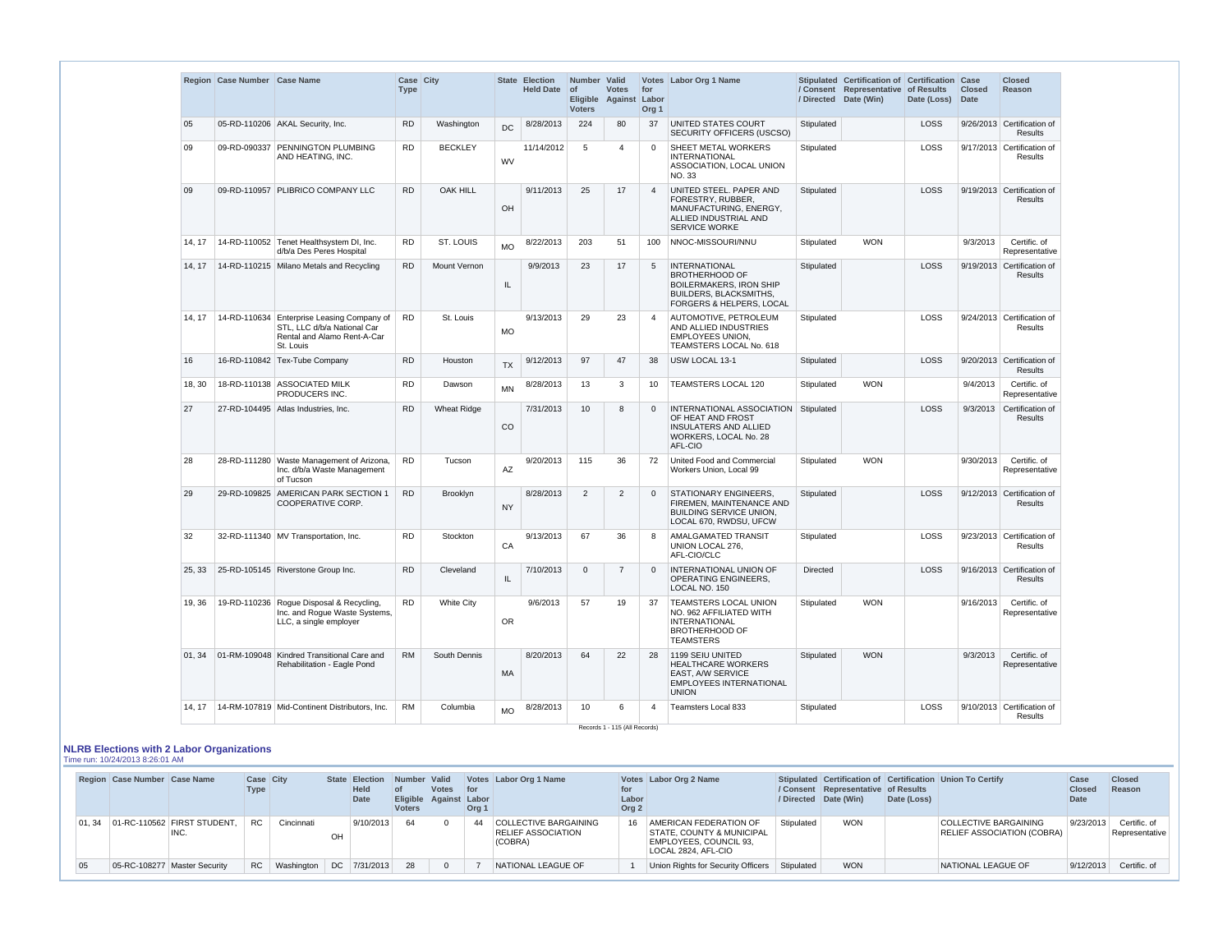|        | Region Case Number Case Name |                                                                                                                       | Case City<br><b>Type</b> |                     |           | <b>State Election</b><br><b>Held Date</b> | <b>Number</b><br><b>of</b><br><b>Voters</b> | Valid<br><b>Votes</b><br>Eligible Against | for<br>Labor<br>Org <sub>1</sub> | Votes Labor Org 1 Name                                                                                                                       |                 | Stipulated Certification of Certification Case<br>/ Consent Representative<br>/ Directed Date (Win) | of Results<br>Date (Loss) | <b>Closed</b><br><b>Date</b> | <b>Closed</b><br><b>Reason</b>               |
|--------|------------------------------|-----------------------------------------------------------------------------------------------------------------------|--------------------------|---------------------|-----------|-------------------------------------------|---------------------------------------------|-------------------------------------------|----------------------------------|----------------------------------------------------------------------------------------------------------------------------------------------|-----------------|-----------------------------------------------------------------------------------------------------|---------------------------|------------------------------|----------------------------------------------|
| 05     |                              | 05-RD-110206 AKAL Security, Inc.                                                                                      | <b>RD</b>                | Washington          | <b>DC</b> | 8/28/2013                                 | 224                                         | 80                                        | 37                               | UNITED STATES COURT<br>SECURITY OFFICERS (USCSO)                                                                                             | Stipulated      |                                                                                                     | LOSS                      |                              | 9/26/2013 Certification of<br><b>Results</b> |
| 09     |                              | 09-RD-090337 PENNINGTON PLUMBING<br>AND HEATING, INC.                                                                 | <b>RD</b>                | <b>BECKLEY</b>      | <b>WV</b> | 11/14/2012                                | 5                                           | $\overline{4}$                            | $\Omega$                         | SHEET METAL WORKERS<br><b>INTERNATIONAL</b><br>ASSOCIATION, LOCAL UNION<br>NO. 33                                                            | Stipulated      |                                                                                                     | LOSS                      |                              | 9/17/2013 Certification of<br><b>Results</b> |
| 09     |                              | 09-RD-110957 PLIBRICO COMPANY LLC                                                                                     | <b>RD</b>                | <b>OAK HILL</b>     | OH        | 9/11/2013                                 | 25                                          | 17                                        | $\overline{4}$                   | UNITED STEEL. PAPER AND<br>FORESTRY, RUBBER,<br>MANUFACTURING, ENERGY,<br>ALLIED INDUSTRIAL AND<br>SERVICE WORKE                             | Stipulated      |                                                                                                     | LOSS                      |                              | 9/19/2013 Certification of<br><b>Results</b> |
| 14, 17 |                              | 14-RD-110052 Tenet Healthsystem DI, Inc.<br>d/b/a Des Peres Hospital                                                  | <b>RD</b>                | ST. LOUIS           | <b>MO</b> | 8/22/2013                                 | 203                                         | 51                                        | 100                              | NNOC-MISSOURI/NNU                                                                                                                            | Stipulated      | <b>WON</b>                                                                                          |                           | 9/3/2013                     | Certific. of<br>Representative               |
| 14, 17 |                              | 14-RD-110215 Milano Metals and Recycling                                                                              | <b>RD</b>                | <b>Mount Vernon</b> | IL        | 9/9/2013                                  | 23                                          | 17                                        | 5                                | <b>INTERNATIONAL</b><br><b>BROTHERHOOD OF</b><br><b>BOILERMAKERS, IRON SHIP</b><br><b>BUILDERS, BLACKSMITHS,</b><br>FORGERS & HELPERS, LOCAL | Stipulated      |                                                                                                     | LOSS                      |                              | 9/19/2013 Certification of<br><b>Results</b> |
| 14, 17 |                              | 14-RD-110634 Enterprise Leasing Company of<br>STL, LLC d/b/a National Car<br>Rental and Alamo Rent-A-Car<br>St. Louis | <b>RD</b>                | St. Louis           | <b>MO</b> | 9/13/2013                                 | 29                                          | 23                                        | $\overline{4}$                   | AUTOMOTIVE, PETROLEUM<br>AND ALLIED INDUSTRIES<br><b>EMPLOYEES UNION,</b><br>TEAMSTERS LOCAL No. 618                                         | Stipulated      |                                                                                                     | LOSS                      |                              | 9/24/2013 Certification of<br><b>Results</b> |
| 16     |                              | 16-RD-110842 Tex-Tube Company                                                                                         | <b>RD</b>                | Houston             | <b>TX</b> | 9/12/2013                                 | 97                                          | 47                                        | 38                               | USW LOCAL 13-1                                                                                                                               | Stipulated      |                                                                                                     | LOSS                      |                              | 9/20/2013 Certification of<br><b>Results</b> |
| 18, 30 |                              | 18-RD-110138 ASSOCIATED MILK<br>PRODUCERS INC.                                                                        | <b>RD</b>                | Dawson              | <b>MN</b> | 8/28/2013                                 | 13                                          | 3                                         | 10                               | TEAMSTERS LOCAL 120                                                                                                                          | Stipulated      | <b>WON</b>                                                                                          |                           | 9/4/2013                     | Certific. of<br>Representative               |
| 27     |                              | 27-RD-104495 Atlas Industries, Inc.                                                                                   | <b>RD</b>                | <b>Wheat Ridge</b>  | CO        | 7/31/2013                                 | 10                                          | 8                                         | $\overline{0}$                   | INTERNATIONAL ASSOCIATION<br>OF HEAT AND FROST<br><b>INSULATERS AND ALLIED</b><br>WORKERS, LOCAL No. 28<br>AFL-CIO                           | Stipulated      |                                                                                                     | LOSS                      | 9/3/2013                     | Certification of<br><b>Results</b>           |
| 28     |                              | 28-RD-111280 Waste Management of Arizona,<br>Inc. d/b/a Waste Management<br>of Tucson                                 | <b>RD</b>                | Tucson              | AZ        | 9/20/2013                                 | 115                                         | 36                                        | 72                               | United Food and Commercial<br>Workers Union, Local 99                                                                                        | Stipulated      | <b>WON</b>                                                                                          |                           | 9/30/2013                    | Certific. of<br>Representative               |
| 29     |                              | 29-RD-109825 AMERICAN PARK SECTION 1<br>COOPERATIVE CORP.                                                             | <b>RD</b>                | <b>Brooklyn</b>     | <b>NY</b> | 8/28/2013                                 | 2                                           | 2                                         | $\mathbf 0$                      | <b>STATIONARY ENGINEERS,</b><br>FIREMEN, MAINTENANCE AND<br><b>BUILDING SERVICE UNION,</b><br>LOCAL 670, RWDSU, UFCW                         | Stipulated      |                                                                                                     | LOSS                      |                              | 9/12/2013 Certification of<br><b>Results</b> |
| 32     |                              | 32-RD-111340 MV Transportation, Inc.                                                                                  | <b>RD</b>                | Stockton            | CA        | 9/13/2013                                 | 67                                          | 36                                        | 8                                | AMALGAMATED TRANSIT<br>UNION LOCAL 276,<br>AFL-CIO/CLC                                                                                       | Stipulated      |                                                                                                     | LOSS                      |                              | 9/23/2013 Certification of<br><b>Results</b> |
| 25, 33 |                              | 25-RD-105145 Riverstone Group Inc.                                                                                    | <b>RD</b>                | Cleveland           | IL.       | 7/10/2013                                 | $\mathbf{0}$                                | $\overline{7}$                            | $\Omega$                         | INTERNATIONAL UNION OF<br>OPERATING ENGINEERS.<br>LOCAL NO. 150                                                                              | <b>Directed</b> |                                                                                                     | LOSS                      |                              | 9/16/2013 Certification of<br><b>Results</b> |
| 19, 36 |                              | 19-RD-110236 Rogue Disposal & Recycling,<br>Inc. and Rogue Waste Systems,<br>LLC, a single employer                   | <b>RD</b>                | <b>White City</b>   | <b>OR</b> | 9/6/2013                                  | 57                                          | 19                                        | 37                               | TEAMSTERS LOCAL UNION<br>NO. 962 AFFILIATED WITH<br><b>INTERNATIONAL</b><br><b>BROTHERHOOD OF</b><br><b>TEAMSTERS</b>                        | Stipulated      | <b>WON</b>                                                                                          |                           | 9/16/2013                    | Certific. of<br>Representative               |
| 01, 34 |                              | 01-RM-109048 Kindred Transitional Care and<br>Rehabilitation - Eagle Pond                                             | <b>RM</b>                | South Dennis        | МA        | 8/20/2013                                 | 64                                          | 22                                        | 28                               | 1199 SEIU UNITED<br><b>HEALTHCARE WORKERS</b><br>EAST, A/W SERVICE<br>EMPLOYEES INTERNATIONAL<br><b>UNION</b>                                | Stipulated      | <b>WON</b>                                                                                          |                           | 9/3/2013                     | Certific. of<br>Representative               |
| 14, 17 |                              | 14-RM-107819 Mid-Continent Distributors, Inc.                                                                         | <b>RM</b>                | Columbia            | <b>MO</b> | 8/28/2013                                 | 10                                          | 6<br>Records 1 - 115 (All Records)        | 4                                | <b>Teamsters Local 833</b>                                                                                                                   | Stipulated      |                                                                                                     | LOSS                      |                              | 9/10/2013 Certification of<br>Results        |

# **NLRB Elections with 2 Labor Organizations**

Time run: 10/24/2013 8:26:01 AM

|       | Region Case Number Case Name |                                                                | <b>Case City</b><br><b>Type</b> |            |    | State Election Number Valid<br><b>Held</b><br><b>Date</b> | 0f<br><b>Eligible Against Labor</b><br><b>Voters</b> | <b>Votes</b> | ⊟ for<br>Org 1 | Votes Labor Org 1 Name                                        | Labor<br>Org <sub>2</sub> | Votes Labor Org 2 Name                                                                                      |            | / Consent Representative of Results<br>/ Directed Date (Win) | Date (Loss) | Stipulated Certification of Certification Union To Certify | Case<br><b>Closed</b><br>Date | <b>Closed</b><br>Reason        |
|-------|------------------------------|----------------------------------------------------------------|---------------------------------|------------|----|-----------------------------------------------------------|------------------------------------------------------|--------------|----------------|---------------------------------------------------------------|---------------------------|-------------------------------------------------------------------------------------------------------------|------------|--------------------------------------------------------------|-------------|------------------------------------------------------------|-------------------------------|--------------------------------|
| 01.34 |                              | $\vert$ 01-RC-110562 FIRST STUDENT, $\vert$ RC $\vert$<br>INC. |                                 | Cincinnati | OH | 9/10/2013                                                 | 64                                                   |              | 44             | COLLECTIVE BARGAINING<br><b>RELIEF ASSOCIATION</b><br>(COBRA) | 16                        | AMERICAN FEDERATION OF<br>STATE, COUNTY & MUNICIPAL<br><b>EMPLOYEES, COUNCIL 93,</b><br>LOCAL 2824. AFL-CIO | Stipulated | <b>WON</b>                                                   |             | COLLECTIVE BARGAINING<br><b>RELIEF ASSOCIATION (COBRA)</b> | 9/23/201:                     | Certific, of<br>Representative |
| 05    |                              | 05-RC-108277   Master Security                                 | RC                              | Washington | DC | 7/31/2013                                                 | 28                                                   |              |                | NATIONAL LEAGUE OF                                            |                           | Union Rights for Security Officers   Stipulated                                                             |            | <b>WON</b>                                                   |             | NATIONAL LEAGUE OF                                         | 9/12/2013                     | Certific, of                   |